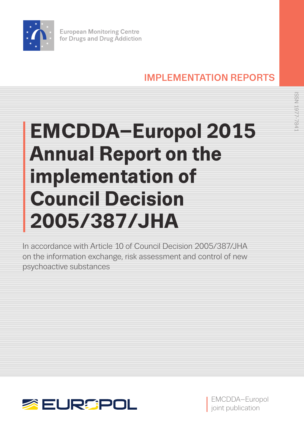

# IMPLEMENTATION REPORTS

# **EMCDDA–Europol 2015 Annual Report on the implementation of Council Decision 2005/387/JHA**

In accordance with Article 10 of Council Decision 2005/387/JHA on the information exchange, risk assessment and control of new psychoactive substances





EMCDDA–Europol joint publication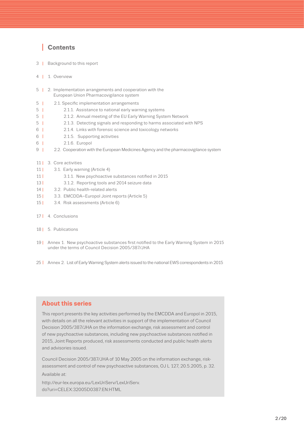# **<sup>I</sup> Contents**

- 3 **<sup>I</sup>** [Background to this report](#page-2-0)
- 4 **<sup>I</sup>** 1. [Overview](#page-3-0)
- 5 **<sup>I</sup>** [2. Implementation arrangements and cooperation with the](#page-4-0)  [European Union Pharmacovigilance system](#page-4-0)
- 5 **<sup>I</sup>** [2.1. Specific implementation arrangements](#page-4-0)
- 5 **<sup>I</sup>** 2.1.1. [Assistance to national early warning systems](#page-4-0)
- 5 **<sup>I</sup>** 2.1.2. [Annual meeting of the EU Early Warning System Network](#page-4-0)
- 5 **<sup>I</sup>** 2.1.3. [Detecting signals and responding to harms associated with NPS](#page-4-0)
- 6 **<sup>I</sup>** 2.1.4. [Links with forensic science and toxicology networks](#page-5-0)
- 6 **<sup>I</sup>** [2.1.5. Supporting activities](#page-5-0)
- 6 **<sup>I</sup>** 2.1.6. [Europol](#page-5-0)
- 9 **<sup>I</sup>** [2.2. Cooperation with the European Medicines Agency and the pharmacovigilance system](#page-8-0)
- 11 | 3. Core activities
- 11 | 3.1. [Early warning \(Article 4\)](#page-10-0)
- 11 **<sup>I</sup>** 3.1.1. [New psychoactive substances notified in 2015](#page-10-0)
- 13 **<sup>I</sup>** 3.1.2. [Reporting tools and 2014 seizure data](#page-12-0)
- 14 **<sup>I</sup>** 3.2. [Public health-related alerts](#page-13-0)
- 15 | 3.3. [EMCDDA–Europol Joint reports \(Article 5\)](#page-14-0)
- 15 **<sup>I</sup>** 3.4. [Risk assessments \(Article 6\)](#page-14-0)
- 17 **<sup>I</sup>** 4. [Conclusions](#page-16-0)
- 18 **<sup>I</sup>** 5. [Publications](#page-17-0)
- 19 **<sup>I</sup>** [Annex 1.](#page-18-0) [New psychoactive substances first notified to the Early Warning System in 2015](#page-18-0)  [under the terms of Council Decision 2005/387/JHA](#page-18-0)
- 25 **<sup>I</sup>** [Annex 2.](#page-24-0) [List of Early Warning System alerts issued to the national EWS correspondents in 2015](#page-24-0)

# **About this series**

This report presents the key activities performed by the EMCDDA and Europol in 2015, with details on all the relevant activities in support of the implementation of Council Decision 2005/387/JHA on the information exchange, risk assessment and control of new psychoactive substances, including new psychoactive substances notified in 2015, Joint Reports produced, risk assessments conducted and public health alerts and advisories issued.

Council Decision 2005/387/JHA of 10 May 2005 on the information exchange, riskassessment and control of new psychoactive substances, OJ L 127, 20.5.2005, p. 32. Available at:

http://eur-lex.europa.eu/LexUriServ/LexUriServ. do?uri=CELEX:32005D0387:EN:HTML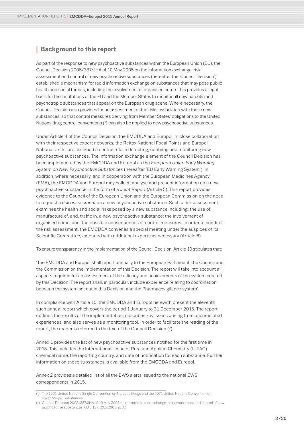# <span id="page-2-0"></span>**<sup>I</sup> Background to this report**

As part of the response to new psychoactive substances within the European Union (EU), the Council Decision 2005/387/JHA of 10 May 2005 on the information exchange, risk assessment and control of new psychoactive substances (hereafter the 'Council Decision') established a mechanism for rapid information exchange on substances that may pose public health and social threats, including the involvement of organised crime. This provides a legal basis for the institutions of the EU and the Member States to monitor all new narcotic and psychotropic substances that appear on the European drug scene. Where necessary, the Council Decision also provides for an assessment of the risks associated with these new substances, so that control measures deriving from Member States' obligations to the United Nations drug control conventions (1) can also be applied to new psychoactive substances.

Under Article 4 of the Council Decision, the EMCDDA and Europol, in close collaboration with their respective expert networks, the Reitox National Focal Points and Europol National Units, are assigned a central role in detecting, notifying and monitoring new psychoactive substances. The information exchange element of the Council Decision has been implemented by the EMCDDA and Europol as the *European Union Early Warning System on New Psychoactive Substances* (hereafter 'EU Early Warning System'). In addition, where necessary, and in cooperation with the European Medicines Agency (EMA), the EMCDDA and Europol may collect, analyse and present information on a new psychoactive substance in the form of a *Joint Report* (Article 5). This report provides evidence to the Council of the European Union and the European Commission on the need to request a *risk assessment* on a new psychoactive substance. Such a risk assessment examines the health and social risks posed by a new substance including: the use of, manufacture of, and, traffic in, a new psychoactive substance; the involvement of organised crime; and, the possible consequences of control measures. In order to conduct the risk assessment, the EMCDDA convenes a special meeting under the auspices of its Scientific Committee, extended with additional experts as necessary (Article 6).

To ensure transparency in the implementation of the Council Decision, Article 10 stipulates that:

'The EMCDDA and Europol shall report annually to the European Parliament, the Council and the Commission on the implementation of this Decision. The report will take into account all aspects required for an assessment of the efficacy and achievements of the system created by this Decision. The report shall, in particular, include experience relating to coordination between the system set out in this Decision and the Pharmacovigilance system'.

In compliance with Article 10, the EMCDDA and Europol herewith present the eleventh such annual report which covers the period 1 January to 31 December 2015. The report outlines the results of the implementation, describes key issues arising from accumulated experiences, and also serves as a monitoring tool. In order to facilitate the reading of the report, the reader is referred to the text of the Council Decision (2).

Annex 1 provides the list of new psychoactive substances notified for the first time in 2015. This includes the International Union of Pure and Applied Chemistry (IUPAC) chemical name, the reporting country, and date of notification for each substance. Further information on these substances is available from the EMCDDA and Europol.

Annex 2 provides a detailed list of all the EWS alerts issued to the national EWS correspondents in 2015.

<sup>(1)</sup> The 1961 United Nations Single Convention on Narcotic Drugs and the 1971 United Nations Convention on Psychotropic Substances.

<sup>(2)</sup> Council Decision 2005/387/JHA of 10 May 2005 on the information exchange, risk-assessment and control of new psychoactive substances, OJ L 127, 20.5.2005, p. 32.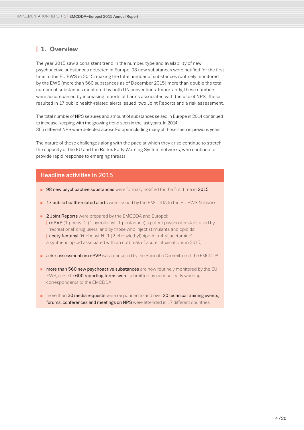# <span id="page-3-0"></span>**I 1. Overview**

The year 2015 saw a consistent trend in the number, type and availability of new psychoactive substances detected in Europe. 98 new substances were notified for the first time to the EU EWS in 2015, making the total number of substances routinely monitored by the EWS (more than 560 substances as of December 2015) more than double the total number of substances monitored by both UN conventions. Importantly, these numbers were accompanied by increasing reports of harms associated with the use of NPS. These resulted in 17 public health-related alerts issued, two Joint Reports and a risk assessment.

The total number of NPS seizures and amount of substances seized in Europe in 2014 continued to increase, keeping with the growing trend seen in the last years. In 2014, 365 different NPS were detected across Europe including many of those seen in previous years.

The nature of these challenges along with the pace at which they arise continue to stretch the capacity of the EU and the Reitox Early Warning System networks, who continue to provide rapid response to emerging threats.

# Headline activities in 2015

- **98 new psychoactive substances** were formally notified for the first time in 2015;
- **17 public health-related alerts** were issued by the EMCDDA to the EU EWS Network;
- **2 Joint Reports** were prepared by the EMCDDA and Europol: **<sup>I</sup>** α-PVP (1-phenyl-2-(1-pyrrolidinyl)-1-pentanone) a potent psychostimulant used by 'recreational' drug users, and by those who inject stimulants and opioids; **<sup>I</sup>** acetylfentanyl (N-phenyl-N-[1-(2-phenylethyl)piperidin-4-yl]acetamide) a synthetic opioid associated with an outbreak of acute intoxications in 2015;
- **a risk assessment on α-PVP** was conducted by the Scientific Committee of the EMCDDA;
- **nore than 560 new psychoactive substances** are now routinely monitored by the EU EWS; close to 600 reporting forms were submitted by national early warning correspondents to the EMCDDA;
- $\blacksquare$  more than 30 media requests were responded to and over 20 technical training events. forums, conferences and meetings on NPS were attended in 17 different countries.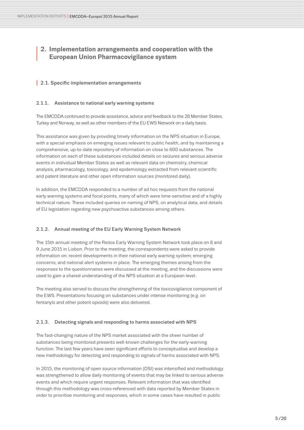# <span id="page-4-0"></span>**<sup>I</sup> 2. Implementation arrangements and cooperation with the European Union Pharmacovigilance system**

# **I** 2.1. Specific implementation arrangements

# 2.1.1. Assistance to national early warning systems

The EMCDDA continued to provide assistance, advice and feedback to the 28 Member States, Turkey and Norway, as well as other members of the EU EWS Network on a daily basis.

This assistance was given by providing timely information on the NPS situation in Europe, with a special emphasis on emerging issues relevant to public health, and by maintaining a comprehensive, up-to-date repository of information on close to 600 substances. The information on each of these substances included details on seizures and serious adverse events in individual Member States as well as relevant data on chemistry, chemical analysis, pharmacology, toxicology, and epidemiology extracted from relevant scientific and patent literature and other open information sources (monitored daily).

In addition, the EMCDDA responded to a number of ad hoc requests from the national early warning systems and focal points, many of which were time-sensitive and of a highly technical nature. These included queries on naming of NPS, on analytical data, and details of EU legislation regarding new psychoactive substances among others.

# 2.1.2. Annual meeting of the EU Early Warning System Network

The 15th annual meeting of the Reitox Early Warning System Network took place on 8 and 9 June 2015 in Lisbon. Prior to the meeting, the correspondents were asked to provide information on: recent developments in their national early warning system; emerging concerns; and national alert systems in place. The emerging themes arising from the responses to the questionnaires were discussed at the meeting, and the discussions were used to gain a shared understanding of the NPS situation at a European level.

The meeting also served to discuss the strengthening of the toxicovigilance component of the EWS. Presentations focusing on substances under intense monitoring (e.g. on fentanyls and other potent opioids) were also delivered.

# 2.1.3. Detecting signals and responding to harms associated with NPS

The fast-changing nature of the NPS market associated with the sheer number of substances being monitored presents well-known challenges for the early-warning function. The last few years have seen significant efforts to conceptualise and develop a new methodology for detecting and responding to signals of harms associated with NPS.

In 2015, the monitoring of open source information (OSI) was intensified and methodology was strengthened to allow daily monitoring of events that may be linked to serious adverse events and which require urgent responses. Relevant information that was identified through this methodology was cross-referenced with data reported by Member States in order to prioritise monitoring and responses, which in some cases have resulted in public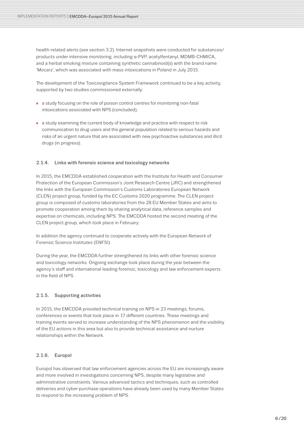<span id="page-5-0"></span>health-related alerts (see section 3.2). Internet snapshots were conducted for substances/ products under intensive monitoring, including α-PVP, acetylfentanyl, MDMB-CHMICA, and a herbal smoking mixture containing synthetic cannabinoid(s) with the brand name 'Mocarz', which was associated with mass intoxications in Poland in July 2015.

The development of the Toxicovigilance System Framework continued to be a key activity, supported by two studies commissioned externally:

- a study focusing on the role of poison control centres for monitoring non-fatal intoxications associated with NPS (concluded);
- $\Box$  a study examining the current body of knowledge and practice with respect to risk communication to drug users and the general population related to serious hazards and risks of an urgent nature that are associated with new psychoactive substances and illicit drugs (in progress).

# 2.1.4. Links with forensic science and toxicology networks

In 2015, the EMCDDA established cooperation with the Institute for Health and Consumer Protection of the European Commission's Joint Research Centre (JRC) and strengthened the links with the European Commission's Customs Laboratories European Network (CLEN) project group, funded by the EC Customs 2020 programme. The CLEN project group is composed of customs laboratories from the 28 EU Member States and aims to promote cooperation among them by sharing analytical data, reference samples and expertise on chemicals, including NPS. The EMCDDA hosted the second meeting of the CLEN project group, which took place in February.

In addition the agency continued to cooperate actively with the European Network of Forensic Science Institutes (ENFSI).

During the year, the EMCDDA further strengthened its links with other forensic science and toxicology networks. Ongoing exchange took place during the year between the agency´s staff and international leading forensic, toxicology and law enforcement experts in the field of NPS.

# 2.1.5. Supporting activities

In 2015, the EMCDDA provided technical training on NPS in 23 meetings, forums, conferences or events that took place in 17 different countries. These meetings and training events served to increase understanding of the NPS phenomenon and the visibility of the EU actions in this area but also to provide technical assistance and nurture relationships within the Network.

# 2.1.6. Europol

Europol has observed that law enforcement agencies across the EU are increasingly aware and more involved in investigations concerning NPS, despite many legislative and administrative constraints. Various advanced tactics and techniques, such as controlled deliveries and cyber-purchase operations have already been used by many Member States to respond to the increasing problem of NPS.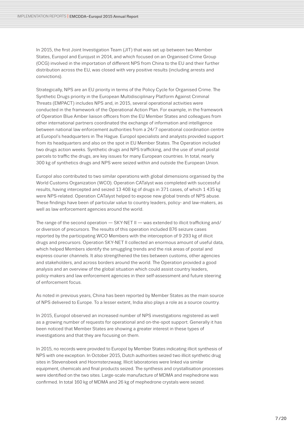In 2015, the first Joint Investigation Team (JIT) that was set up between two Member States, Europol and Eurojust in 2014, and which focused on an Organised Crime Group (OCG) involved in the importation of different NPS from China to the EU and their further distribution across the EU, was closed with very positive results (including arrests and convictions).

Strategically, NPS are an EU priority in terms of the Policy Cycle for Organised Crime. The Synthetic Drugs priority in the European Multidisciplinary Platform Against Criminal Threats (EMPACT) includes NPS and, in 2015, several operational activities were conducted in the framework of the Operational Action Plan. For example, in the framework of Operation Blue Amber liaison officers from the EU Member States and colleagues from other international partners coordinated the exchange of information and intelligence between national law enforcement authorities from a 24/7 operational coordination centre at Europol's headquarters in The Hague. Europol specialists and analysts provided support from its headquarters and also on the spot in EU Member States. The Operation included two drugs action weeks. Synthetic drugs and NPS trafficking, and the use of small postal parcels to traffic the drugs, are key issues for many European countries. In total, nearly 300 kg of synthetics drugs and NPS were seized within and outside the European Union.

Europol also contributed to two similar operations with global dimensions organised by the World Customs Organization (WCO). Operation CATalyst was completed with successful results, having intercepted and seized 13 408 kg of drugs in 371 cases, of which 1 435 kg were NPS-related. Operation CATalyst helped to expose new global trends of NPS abuse. These findings have been of particular value to country leaders, policy- and law-makers, as well as law enforcement agencies around the world.

The range of the second operation — SKY-NET II — was extended to illicit trafficking and/ or diversion of precursors. The results of this operation included 876 seizure cases reported by the participating WCO Members with the interception of 9 293 kg of illicit drugs and precursors. Operation SKY-NET II collected an enormous amount of useful data, which helped Members identify the smuggling trends and the risk areas of postal and express courier channels. It also strengthened the ties between customs, other agencies and stakeholders, and across borders around the world. The Operation provided a good analysis and an overview of the global situation which could assist country leaders, policy-makers and law enforcement agencies in their self-assessment and future steering of enforcement focus.

As noted in previous years, China has been reported by Member States as the main source of NPS delivered to Europe. To a lesser extent, India also plays a role as a source country.

In 2015, Europol observed an increased number of NPS investigations registered as well as a growing number of requests for operational and on-the-spot support. Generally it has been noticed that Member States are showing a greater interest in these types of investigations and that they are focusing on them.

In 2015, no records were provided to Europol by Member States indicating illicit synthesis of NPS with one exception. In October 2015, Dutch authorities seized two illicit synthetic drug sites in Stevensbeek and Hoornsterzwaag. Illicit laboratories were linked via similar equipment, chemicals and final products seized. The synthesis and crystallisation processes were identified on the two sites. Large-scale manufacture of MDMA and mephedrone was confirmed. In total 160 kg of MDMA and 26 kg of mephedrone crystals were seized.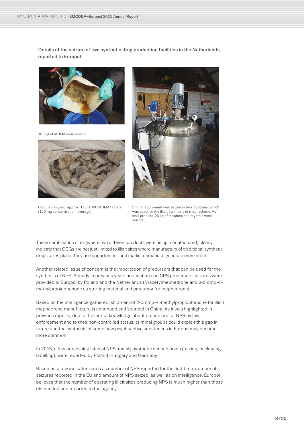Details of the seizure of two synthetic drug production facilities in the Netherlands, reported to Europol.



160 kg of MDMA were seized.



Calculation yield: approx. 1 300 000 MDMA tablets (120 mg concentration, average).



Similar equipment was seized in two locations, which was used for the illicit synthesis of mephedrone. As final product, 26 kg of mephedrone crystals were seized.

These combination sites (where two different products were being manufactured) clearly indicate that OCGs are not just limited to illicit sites where manufacture of traditional synthetic drugs takes place. They use opportunities and market demand to generate more profits.

Another related issue of concern is the importation of precursors that can be used for the synthesis of NPS. Already in previous years notifications on NPS precursors seizures were provided to Europol by Poland and the Netherlands (*N*-acetylmephedrone and 2-bromo-4' methylpropiophenone as starting material and precursor for mephedrone).

Based on the intelligence gathered, shipment of 2-bromo-4'-methylpropiophenone for illicit mephedrone manufacture is continued and sourced in China. As it was highlighted in previous reports, due to the lack of knowledge about precursors for NPS by law enforcement and to their non-controlled status, criminal groups could exploit this gap in future and the synthesis of some new psychoactive substances in Europe may become more common.

In 2015, a few processing sites of NPS, mainly synthetic cannabinoids (mixing, packaging, labelling), were reported by Poland, Hungary and Germany.

Based on a few indicators such as number of NPS reported for the first time, number of seizures reported in the EU and amount of NPS seized, as well as on intelligence, Europol believes that the number of operating illicit sites producing NPS is much higher than those dismantled and reported to the agency.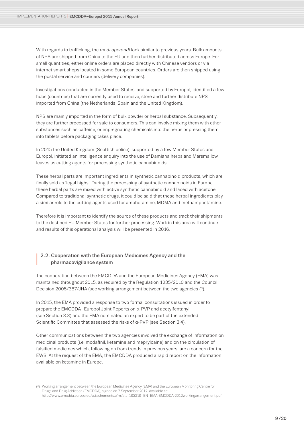<span id="page-8-0"></span>With regards to trafficking, the *modi operandi* look similar to previous years. Bulk amounts of NPS are shipped from China to the EU and then further distributed across Europe. For small quantities, either online orders are placed directly with Chinese vendors or via internet smart shops located in some European countries. Orders are then shipped using the postal service and couriers (delivery companies).

Investigations conducted in the Member States, and supported by Europol, identified a few hubs (countries) that are currently used to receive, store and further distribute NPS imported from China (the Netherlands, Spain and the United Kingdom).

NPS are mainly imported in the form of bulk powder or herbal substance. Subsequently, they are further processed for sale to consumers. This can involve mixing them with other substances such as caffeine, or impregnating chemicals into the herbs or pressing them into tablets before packaging takes place.

In 2015 the United Kingdom (Scottish police), supported by a few Member States and Europol, initiated an intelligence enquiry into the use of Damiana herbs and Marsmallow leaves as cutting agents for processing synthetic cannabinoids.

These herbal parts are important ingredients in synthetic cannabinoid products, which are finally sold as 'legal highs'. During the processing of synthetic cannabinoids in Europe, these herbal parts are mixed with active synthetic cannabinoid and laced with acetone. Compared to traditional synthetic drugs, it could be said that these herbal ingredients play a similar role to the cutting agents used for amphetamine, MDMA and methamphetamine.

Therefore it is important to identify the source of these products and track their shipments to the destined EU Member States for further processing. Work in this area will continue and results of this operational analysis will be presented in 2016.

# **<sup>I</sup>** 2.2. Cooperation with the European Medicines Agency and the pharmacovigilance system

The cooperation between the EMCDDA and the European Medicines Agency (EMA) was maintained throughout 2015, as required by the Regulation 1235/2010 and the Council Decision 2005/387/JHA (see working arrangement between the two agencies (3).

In 2015, the EMA provided a response to two formal consultations issued in order to prepare the EMCDDA–Europol Joint Reports on α-PVP and acetylfentanyl (see Section 3.3) and the EMA nominated an expert to be part of the extended Scientific Committee that assessed the risks of α-PVP (see Section 3.4).

Other communications between the two agencies involved the exchange of information on medicinal products (i.e. modafinil, ketamine and meprylcaine) and on the circulation of falsified medicines which, following on from trends in previous years, are a concern for the EWS. At the request of the EMA, the EMCDDA produced a rapid report on the information available on ketamine in Europe.

<sup>(3)</sup> Working arrangement between the European Medicines Agency (EMA) and the European Monitoring Centre for Drugs and Drug Addiction (EMCDDA), signed on 7 September 2012. Available at: [http://www.emcdda.europa.eu/attachements.cfm/att\\_185319\\_EN\\_EMA-EMCDDA-2012workingarrangement.pdf](http://www.emcdda.europa.eu/attachements.cfm/att_185319_EN_EMA-EMCDDA-2012workingarrangement.pdf)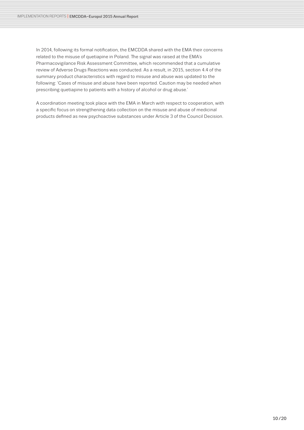In 2014, following its formal notification, the EMCDDA shared with the EMA their concerns related to the misuse of quetiapine in Poland. The signal was raised at the EMA's Pharmacovigilance Risk Assessment Committee, which recommended that a cumulative review of Adverse Drugs Reactions was conducted. As a result, in 2015, section 4.4 of the summary product characteristics with regard to misuse and abuse was updated to the following: 'Cases of misuse and abuse have been reported. Caution may be needed when prescribing quetiapine to patients with a history of alcohol or drug abuse.'

A coordination meeting took place with the EMA in March with respect to cooperation, with a specific focus on strengthening data collection on the misuse and abuse of medicinal products defined as new psychoactive substances under Article 3 of the Council Decision.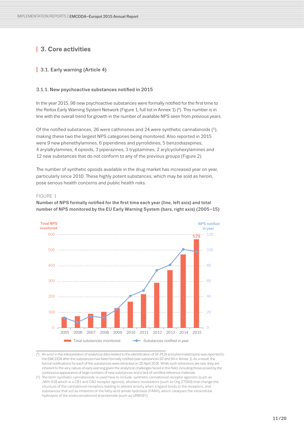# <span id="page-10-0"></span>**I 3. Core activities**

# **I** 3.1. Early warning (Article 4)

#### 3.1.1. New psychoactive substances notified in 2015

In the year 2015, 98 new psychoactive substances were formally notified for the first time to the Reitox Early Warning System Network (Figure 1, full list in Annex 1) (4). This number is in line with the overall trend for growth in the number of available NPS seen from previous years.

Of the notified substances, 26 were cathinones and 24 were synthetic cannabinoids (5), making these two the largest NPS categories being monitored. Also reported in 2015 were 9 new phenethylamines, 6 piperidines and pyrrolidines, 5 benzodiazepines, 4 arylalkylamines, 4 opioids, 3 piperazines, 3 tryptamines, 2 arylcyclohexylamines and 12 new substances that do not conform to any of the previous groups (Figure 2).

The number of synthetic opioids available in the drug market has increased year on year, particularly since 2010. These highly potent substances, which may be sold as heroin, pose serious health concerns and public health risks.

#### FIGURE 1

Number of NPS formally notified for the first time each year (line, left axis) and total number of NPS monitored by the EU Early Warning System (bars, right axis) (2005–15)



( 4) An error in the interpretation of analytical data related to the identification of 5F-PCN and phenmetetrazine was reported to the EMCDDA after the substances had been formally notified (see substances 92 and 94 in Annex 1). As a result, the formal notifications for each of the substances were retracted on 20 April 2016. While such retractions are rare, they are inherent to the very nature of early warning given the analytical challenges faced in this field, including those posed by the continuous appearance of large numbers of new substances and a lack of certified reference materials.

<sup>(5)</sup> The term 'synthetic cannabinoids' is used here to include: synthetic cannabinoid receptor agonists (such as JWH-018 which is a CB1 and CB2 receptor agonist); allosteric modulators (such as Org 27569) that change the structure of the cannabinoid receptors leading to altered activity when a ligand binds to the receptors; and, substances that act as inhibitors of the fatty-acid amide hydrolase (FAAH), which catalyses the intracellular hydrolysis of the endocannabinoid anandamide (such as URB597).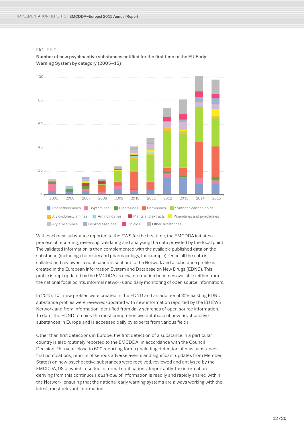

FIGURE 2 Number of new psychoactive substances notified for the first time to the EU Early 120 Warning System by category (2005–15)

With each new substance reported to the EWS for the first time, the EMCDDA initiates a process of recording, reviewing, validating and analysing the data provided by the focal point. The validated information is then complemented with the available published data on the substance (including chemistry and pharmacology, for example). Once all the data is collated and reviewed, a notification is sent out to the Network and a substance profile is created in the European Information System and Database on New Drugs (EDND). This profile is kept updated by the EMCDDA as new information becomes available (either from the national focal points, informal networks and daily monitoring of open source information).

In 2015, 101 new profiles were created in the EDND and an additional 328 existing EDND substance profiles were reviewed/updated with new information reported by the EU EWS Network and from information identified from daily searches of open source information. To date, the EDND remains the most comprehensive database of new psychoactive substances in Europe and is accessed daily by experts from various fields.

Other than first detections in Europe, the first detection of a substance in a particular country is also routinely reported to the EMCDDA, in accordance with the Council Decision. This year, close to 600 reporting forms (including detection of new substances, first notifications, reports of serious adverse events and significant updates from Member States) on new psychoactive substances were received, reviewed and analysed by the EMCDDA, 98 of which resulted in formal notifications. Importantly, the information deriving from this continuous *push-pull* of information is readily and rapidly shared within the Network, ensuring that the national early warning systems are always working with the latest, most relevant information.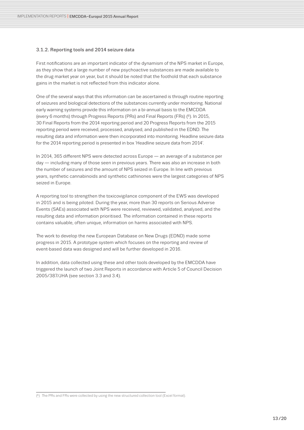# <span id="page-12-0"></span>3.1.2. Reporting tools and 2014 seizure data

First notifications are an important indicator of the dynamism of the NPS market in Europe, as they show that a large number of new psychoactive substances are made available to the drug market year on year, but it should be noted that the foothold that each substance gains in the market is not reflected from this indicator alone.

One of the several ways that this information can be ascertained is through routine reporting of seizures and biological detections of the substances currently under monitoring. National early warning systems provide this information on a bi-annual basis to the EMCDDA (every 6 months) through Progress Reports (PRs) and Final Reports (FRs) (6). In 2015, 30 Final Reports from the 2014 reporting period and 20 Progress Reports from the 2015 reporting period were received, processed, analysed, and published in the EDND. The resulting data and information were then incorporated into monitoring. Headline seizure data for the 2014 reporting period is presented in box 'Headline seizure data from 2014'.

In 2014, 365 different NPS were detected across Europe — an average of a substance per day — including many of those seen in previous years. There was also an increase in both the number of seizures and the amount of NPS seized in Europe. In line with previous years, synthetic cannabinoids and synthetic cathinones were the largest categories of NPS seized in Europe.

A reporting tool to strengthen the toxicovigilance component of the EWS was developed in 2015 and is being piloted. During the year, more than 30 reports on Serious Adverse Events (SAEs) associated with NPS were received, reviewed, validated, analysed, and the resulting data and information prioritised. The information contained in these reports contains valuable, often unique, information on harms associated with NPS.

The work to develop the new European Database on New Drugs (EDND) made some progress in 2015. A prototype system which focuses on the reporting and review of event-based data was designed and will be further developed in 2016.

In addition, data collected using these and other tools developed by the EMCDDA have triggered the launch of two Joint Reports in accordance with Article 5 of Council Decision 2005/387/JHA (see section 3.3 and 3.4).

<sup>(6)</sup> The PRs and FRs were collected by using the new structured collection tool (Excel format).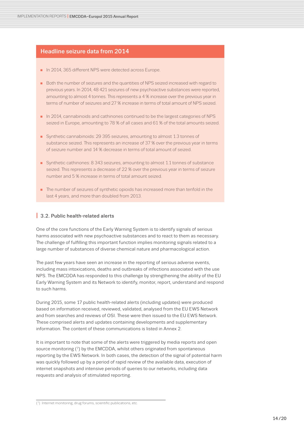# <span id="page-13-0"></span>Headline seizure data from 2014

- n 2014, 365 different NPS were detected across Europe.
- Both the number of seizures and the quantities of NPS seized increased with regard to previous years. In 2014, 48 421 seizures of new psychoactive substances were reported, amounting to almost 4 tonnes. This represents a 4 % increase over the previous year in terms of number of seizures and 27 % increase in terms of total amount of NPS seized.
- $\blacksquare$  In 2014, cannabinoids and cathinones continued to be the largest categories of NPS seized in Europe, amounting to 78 % of all cases and 61 % of the total amounts seized.
- Synthetic cannabinoids: 29 395 seizures, amounting to almost 1.3 tonnes of substance seized. This represents an increase of 37 % over the previous year in terms of seizure number and 14 % decrease in terms of total amount of seized.
- Synthetic cathinones: 8 343 seizures, amounting to almost 1.1 tonnes of substance seized. This represents a decrease of 22 % over the previous year in terms of seizure number and 5 % increase in terms of total amount seized.
- $\blacksquare$  The number of seizures of synthetic opioids has increased more than tenfold in the last 4 years, and more than doubled from 2013.

# **I** 3.2. Public health-related alerts

One of the core functions of the Early Warning System is to identify signals of serious harms associated with new psychoactive substances and to react to them as necessary. The challenge of fulfilling this important function implies monitoring signals related to a large number of substances of diverse chemical nature and pharmacological action.

The past few years have seen an increase in the reporting of serious adverse events, including mass intoxications, deaths and outbreaks of infections associated with the use NPS. The EMCDDA has responded to this challenge by strengthening the ability of the EU Early Warning System and its Network to identify, monitor, report, understand and respond to such harms.

During 2015, some 17 public health-related alerts (including updates) were produced based on information received, reviewed, validated, analysed from the EU EWS Network and from searches and reviews of OSI. These were then issued to the EU EWS Network. These comprised alerts and updates containing developments and supplementary information. The content of these communications is listed in Annex 2.

It is important to note that some of the alerts were triggered by media reports and open source monitoring (7) by the EMCDDA, whilst others originated from spontaneous reporting by the EWS Network. In both cases, the detection of the signal of potential harm was quickly followed up by a period of rapid review of the available data, execution of internet snapshots and intensive periods of queries to our networks, including data requests and analysis of stimulated reporting.

(7) Internet monitoring, drug forums, scientific publications, etc.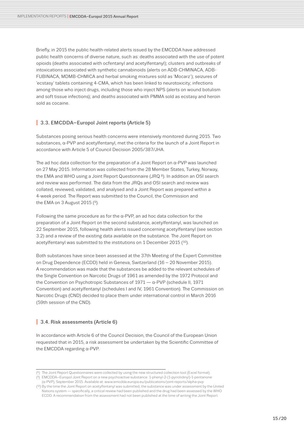<span id="page-14-0"></span>Briefly, in 2015 the public health-related alerts issued by the EMCDDA have addressed public health concerns of diverse nature, such as: deaths associated with the use of potent opioids (deaths associated with ocfentanyl and acetylfentanyl); clusters and outbreaks of intoxications associated with synthetic cannabinoids (alerts on ADB-CHMINACA, ADB-FUBINACA, MDMB-CHMICA and herbal smoking mixtures sold as 'Mocarz'); seizures of 'ecstasy' tablets containing 4-CMA, which has been linked to neurotoxicity; infections among those who inject drugs, including those who inject NPS (alerts on wound botulism and soft tissue infections); and deaths associated with PMMA sold as ecstasy and heroin sold as cocaine.

# **I** 3.3. EMCDDA–Europol Joint reports (Article 5)

Substances posing serious health concerns were intensively monitored during 2015. Two substances, α-PVP and acetylfentanyl, met the criteria for the launch of a Joint Report in accordance with Article 5 of Council Decision 2005/387/JHA.

The ad hoc data collection for the preparation of a Joint Report on  $\alpha$ -PVP was launched on 27 May 2015. Information was collected from the 28 Member States, Turkey, Norway, the EMA and WHO using a Joint Report Questionnaire (JRQ 8). In addition an OSI search and review was performed. The data from the JRQs and OSI search and review was collated, reviewed, validated, and analysed and a Joint Report was prepared within a 4-week period. The Report was submitted to the Council, the Commission and the EMA on 3 August 2015 (9).

Following the same procedure as for the  $\alpha$ -PVP, an ad hoc data collection for the preparation of a Joint Report on the second substance, acetylfentanyl, was launched on 22 September 2015, following health alerts issued concerning acetylfentanyl (see section 3.2) and a review of the existing data available on the substance. The Joint Report on acetylfentanyl was submitted to the institutions on 1 December 2015 (<sup>10</sup>).

Both substances have since been assessed at the 37th Meeting of the Expert Committee on Drug Dependence (ECDD) held in Geneva, Switzerland (16 – 20 November 2015). A recommendation was made that the substances be added to the relevant schedules of the Single Convention on Narcotic Drugs of 1961 as amended by the 1972 Protocol and the Convention on Psychotropic Substances of 1971 — α-PVP (schedule II, 1971 Convention) and acetylfentanyl (schedules I and IV, 1961 Convention). The Commission on Narcotic Drugs (CND) decided to place them under international control in March 2016 (59th session of the CND).

#### **I** 3.4. Risk assessments (Article 6)

In accordance with Article 6 of the Council Decision, the Council of the European Union requested that in 2015, a risk assessment be undertaken by the Scientific Committee of the EMCDDA regarding α-PVP.

<sup>(8)</sup> The Joint Report Questionnaires were collected by using the new structured collection tool (Excel format). (9) EMCDDA–Europol Joint Report on a new psychoactive substance: 1-phenyl-2-(1-pyrrolidinyl)-1-pentanone

<sup>(</sup>α-PVP), September 2015. Available at: www.emcdda.europa.eu/publications/joint-reports/alpha-pvp (10) By the time the Joint Report on acetylfentanyl was submitted, the substance was under assessment by the United

Nations system — specifically, a critical review had been published and the drug had been assessed by the WHO ECDD. A recommendation from the assessment had not been published at the time of writing the Joint Report.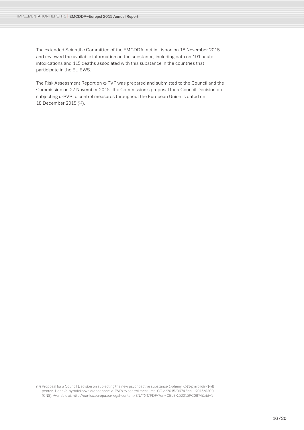The extended Scientific Committee of the EMCDDA met in Lisbon on 18 November 2015 and reviewed the available information on the substance, including data on 191 acute intoxications and 115 deaths associated with this substance in the countries that participate in the EU EWS.

The Risk Assessment Report on α-PVP was prepared and submitted to the Council and the Commission on 27 November 2015. The Commission's proposal for a Council Decision on subjecting α-PVP to control measures throughout the European Union is dated on 18 December 2015 (11).

<sup>(11)</sup> Proposal for a Council Decision on subjecting the new psychoactive substance 1-phenyl-2-(1-pyrrolidin-1-yl) pentan-1-one (α-pyrrolidinovalerophenone, α-PVP) to control measures. COM/2015/0674 final - 2015/0309 (CNS). Available at: http://eur-lex.europa.eu/legal-content/EN/TXT/PDF/?uri=CELEX:52015PC0674&rid=1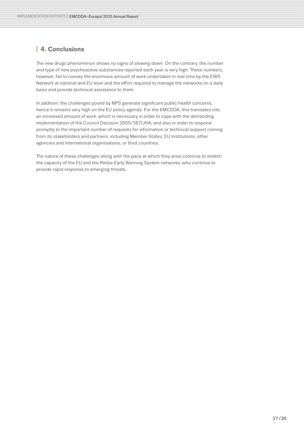# <span id="page-16-0"></span>**I 4. Conclusions**

The new drugs phenomenon shows no signs of slowing down. On the contrary, the number and type of new psychoactive substances reported each year is very high. These numbers, however, fail to convey the enormous amount of work undertaken in real time by the EWS Network at national and EU level and the effort required to manage the networks on a daily basis and provide technical assistance to them.

In addition, the challenges posed by NPS generate significant public health concerns, hence it remains very high on the EU policy agenda. For the EMCDDA, this translates into an increased amount of work, which is necessary in order to cope with the demanding implementation of the Council Decision 2005/387/JHA, and also in order to respond promptly to the important number of requests for information or technical support coming from its stakeholders and partners, including Member States, EU Institutions, other agencies and international organisations, or third countries.

The nature of these challenges along with the pace at which they arise continue to stretch the capacity of the EU and the Reitox Early Warning System networks, who continue to provide rapid response to emerging threats.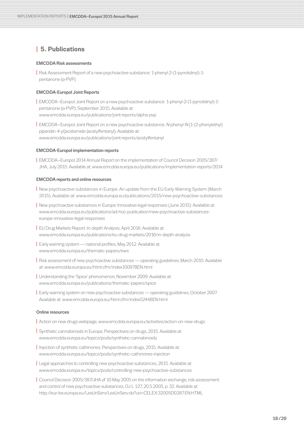# <span id="page-17-0"></span>**I 5. Publications**

#### EMCDDA Risk assessments

**I** Risk Assessment Report of a new psychoactive substance: 1-phenyl-2-(1-pyrrolidinyl)-1 pentanone (α-PVP).

# EMCDDA-Europol Joint Reports

**I** EMCDDA–Europol Joint Report on a new psychoactive substance: 1-phenyl-2-(1-pyrrolidinyl)-1 pentanone (α-PVP), September 2015. Available at: www.emcdda.europa.eu/publications/joint-reports/alpha-pvp

**I** EMCDDA–Europol Joint Report on a new psychoactive substance: N-phenyl-N-[1-(2-phenylethyl) piperidin-4-yl]acetamide (acetylfentanyl), Available at: www.emcdda.europa.eu/publications/joint-reports/acetylfentanyl

#### EMCDDA-Europol implementation reports

**I** EMCDDA–Europol 2014 Annual Report on the implementation of Council Decision 2005/387/ JHA, July 2015. Available at: www.emcdda.europa.eu/publications/implementation-reports/2014

#### EMCDDA reports and online resources

- **I** New psychoactive substances in Europe. An update from the EU Early Warning System (March 2015). Available at: www.emcdda.europa.eu/publications/2015/new-psychoactive-substances
- **I** New psychoactive substances in Europe: Innovative legal responses (June 2015). Available at: www.emcdda.europa.eu/publications/ad-hoc-publication/new-psychoactive-substanceseurope-innovative-legal-responses
- **I** [EU Drug Markets Report: In-depth Analysis](http://www.emcdda.europa.eu/publications/joint-publications/drug-markets), April 2016. Available at: [www.emcdda.europa.eu/publications/eu-drug-markets/2016/in-depth-analysis](http://www.emcdda.europa.eu/publications/eu-drug-markets/2016/in-depth-analysis)
- **I** Early warning system national profiles, May 2012. Available at: www.emcdda.europa.eu/thematic-papers/ews
- **I** [Risk assessment of new psychoactive substances operating guidelines](http://www.emcdda.europa.eu/html.cfm/index100978EN.html), March 2010. Available at: www.emcdda.europa.eu/html.cfm/index100978EN.html
- **I** Understanding the 'Spice' phenomenon, November 2009. Available at: www.emcdda.europa.eu/publications/thematic-papers/spice
- **I** [Early-warning system on new psychoactive substances operating guidelines](http://www.emcdda.europa.eu/html.cfm/index52448EN.html), October 2007. Available at: www.emcdda.europa.eu/html.cfm/index52448EN.html

#### Online resources

- **I** Action on new drugs webpage, www.emcdda.europa.eu/activities/action-on-new-drugs
- **I** Synthetic cannabinoids in Europe, Perspectives on drugs, 2015. Available at: www.emcdda.europa.eu/topics/pods/synthetic-cannabinoids
- **I** [Injection](http://www.emcdda.europa.eu/topics/pods/synthetic-drug-production) of synthetic cathinones, Perspectives on drugs, 2015. Available at: www.emcdda.europa.eu/topics/pods/synthetic-cathinones-injection
- **I** Legal approaches to controlling new psychoactive substances, 2015. Available at: [www.emcdda.europa.eu/topics/pods/controlling-new-psychoactive-substances](http://www.emcdda.europa.eu/topics/pods/controlling-new-psychoactive-substances)
- **I** Council Decision 2005/387/JHA of 10 May 2005 on the information exchange, risk-assessment and control of new psychoactive substances, OJ L 127, 20.5.2005, p. 32. Available at: http://eur-lex.europa.eu/LexUriServ/LexUriServ.do?uri=CELEX:32005D0387:EN:HTML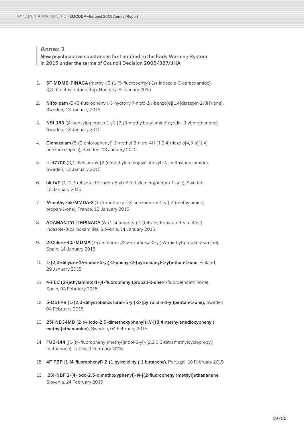<span id="page-18-0"></span>**Annex 1**<br>**New psych**<br>**in 2015 und** New psychoactive substances first notified to the Early Warning System in 2015 under the terms of Council Decision 2005/387/JHA

- 1. 5F-MDMB-PINACA (methyl-[2-(1-(5-fluoropentyl)-1*H*-indazole-3-carboxamido)- 3,3-dimethylbutanoate]), Hungary, 8 January 2015
- 2. Nifoxipam (5-(2-fluorophenyl)-3-hydroxy-7-nitro-*1H*-benzo[e][1,4]diazepin-2(3H)-one), Sweden, 13 January 2015
- 3. NSI-189 ((4-benzylpiperazin-1-yl)-[2-(3-methylbutylamino)pyridin-3-yl]methanone), Sweden, 13 January 2015
- 4. Clonazolam (6-(2-chlorophenyl)-1-methyl-8-nitro-4H-[1,2,4]triazolo[4,3-a][1,4] benzodiazepine), Sweden, 13 January 2015
- 5. U-47700 (3,4-dichloro-*N*-[2-(dimethylamino)cyclohexyl]-*N*-methylbenzamide), Sweden, 13 January 2015
- 6. bk-IVP (1-(2,3-dihydro-*1H*-inden-5-yl)-2-(ethylamino)pentan-1-one), Sweden, 13 January 2015
- 7. <sup>N</sup>-methyl-bk-MMDA-2 (1-(6-methoxy-1,3-benzodioxol-5-yl)-2-(methylamino) propan-1-one), France, 13 January 2015
- 8. ADAMANTYL-THPINACA (*N*-(1-adamantyl)-1-(tetrahydropyran-4-ylmethyl) indazole-3-carboxamide), Slovenia, 14 January 2015
- 9. 2-Chloro-4,5-MDMA (1-(6-chloro-1,3-benzodioxol-5-yl)-*N*-methyl-propan-2-amine), Spain, 14 January 2015
- 10. 1-(2,3-dihydro-1H-inden-5-yl)-2-phenyl-2-(pyrrolidinyl-1-yl)ethan-1-one, Finland, 29 January 2015
- 11. 4-FEC (2-(ethylamino)-1-(4-fluorophenyl)propan-1-one(4-fluoroethcathinone), Spain, 03 February 2015
- 12. 5-DBFPV (1-(2,3-dihydrobenzofuran-5-yl)-2-(pyrrolidin-1-yl)pentan-1-one), Sweden, 04 February 2015
- 13. 25I-NB34MD (2-(4-iodo-2,5-dimethoxyphenyl)-N-[(3,4-methylenedioxyphenyl) methyl]ethanamine), Sweden, 04 February 2015
- 14. FUB-144 ([1-[(4-fluorophenyl)methyl]indol-3-yl]-(2,2,3,3-tetramethylcyclopropyl) methanone), Latvia, 9 February 2015
- 15. 4F-PBP (1-(4-fluorophenyl)-2-(1-pyrrolidinyl)-1-butanone), Portugal, 10 February 2015
- 16. 25I-NBF 2-(4-iodo-2,5-dimethoxyphenyl)-N-[(2-fluorophenyl)methyl]ethanamine, Slovenia, 24 February 2015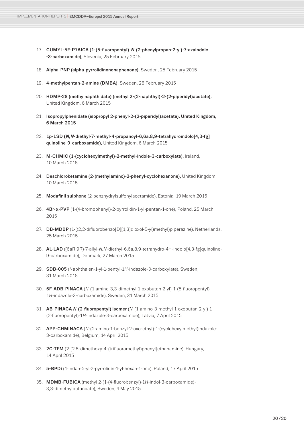- 17. CUMYL-5F-P7AICA (1-(5-fluoropentyl)-N-(2-phenylpropan-2-yl)-7-azaindole -3-carboxamide), Slovenia, 25 February 2015
- 18. Alpha-PNP (alpha-pyrrolidinononaphenone), Sweden, 25 February 2015
- 19. 4-methylpentan-2-amine (DMBA), Sweden, 26 February 2015
- 20. HDMP-28 (methylnaphthidate) (methyl 2-(2-naphthyl)-2-(2-piperidyl)acetate), United Kingdom, 6 March 2015
- 21. Isopropylphenidate (isopropyl 2-phenyl-2-(2-piperidyl)acetate), United Kingdom, 6 March 2015
- 22. 1p-LSD (N,N-diethyl-7-methyl-4-propanoyl-6,6a,8,9-tetrahydroindolo[4,3-fg] quinoline-9-carboxamide), United Kingdom, 6 March 2015
- 23. M-CHMIC (1-(cyclohexylmethyl)-2-methyl-indole-3-carboxylate), Ireland, 10 March 2015
- 24. Deschloroketamine (2-(methylamino)-2-phenyl-cyclohexanone), United Kingdom, 10 March 2015
- 25. Modafinil sulphone (2-benzhydrylsulfonylacetamide), Estonia, 19 March 2015
- 26. 4Br-α-PVP (1-(4-bromophenyl)-2-pyrrolidin-1-yl-pentan-1-one), Poland, 25 March 2015
- 27. DB-MDBP (1-((2,2-difluorobenzo[D][1,3]dioxol-5-yl)methyl)piperazine), Netherlands, 25 March 2015
- 28. AL-LAD ((6aR,9R)-7-allyl-*N,N*-diethyl-6,6a,8,9-tetrahydro-4H-indolo[4,3-fg]quinoline-9-carboxamide), Denmark, 27 March 2015
- 29. SDB-005 (Naphthalen-1-yl-1-pentyl-1*H*-indazole-3-carboxylate), Sweden, 31 March 2015
- 30. 5F-ADB-PINACA (*N*-(1-amino-3,3-dimethyl-1-oxobutan-2-yl)-1-(5-fluoropentyl)- 1*H*-indazole-3-carboxamide), Sweden, 31 March 2015
- 31. AB-PINACA <sup>N</sup>-(2-fluoropentyl) isomer (*N*-(1-amino-3-methyl-1-oxobutan-2-yl)-1- (2-fluoropentyl)-1*H*-indazole-3-carboxamide), Latvia, 7 April 2015
- 32. APP-CHMINACA (*N*-(2-amino-1-benzyl-2-oxo-ethyl)-1-(cyclohexylmethyl)indazole-3-carboxamide), Belgium, 14 April 2015
- 33. 2C-TFM (2-[2,5-dimethoxy-4-(trifluoromethyl)phenyl]ethanamine), Hungary, 14 April 2015
- 34. 5-BPDi (1-indan-5-yl-2-pyrrolidin-1-yl-hexan-1-one), Poland, 17 April 2015
- 35. MDMB-FUBICA (methyl 2-(1-(4-fluorobenzyl)-1*H*-indol-3-carboxamide)- 3,3-dimethylbutanoate), Sweden, 4 May 2015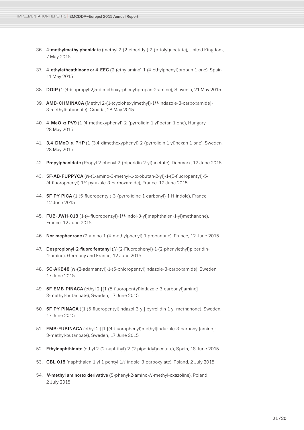- 36. 4-methylmethylphenidate (methyl 2-(2-piperidyl)-2-(p-tolyl)acetate), United Kingdom, 7 May 2015
- 37. 4-ethylethcathinone or 4-EEC (2-(ethylamino)-1-(4-ethylphenyl)propan-1-one), Spain, 11 May 2015
- 38. DOIP (1-(4-isopropyl-2,5-dimethoxy-phenyl)propan-2-amine), Slovenia, 21 May 2015
- 39. AMB-CHMINACA (Methyl 2-(1-(cyclohexylmethyl)-1*H*-indazole-3-carboxamide)- 3-methylbutanoate), Croatia, 28 May 2015
- 40. 4-MeO-α-PV9 (1-(4-methoxyphenyl)-2-(pyrrolidin-1-yl)octan-1-one), Hungary, 28 May 2015
- 41. 3,4-DMeO-α-PHP (1-(3,4-dimethoxyphenyl)-2-(pyrrolidin-1-yl)hexan-1-one), Sweden, 28 May 2015
- 42. Propylphenidate (Propyl-2-phenyl-2-(piperidin-2-yl)acetate), Denmark, 12 June 2015
- 43. 5F-AB-FUPPYCA (*N*-(1-amino-3-methyl-1-oxobutan-2-yl)-1-(5-fluoropentyl)-5- (4-fluorophenyl)-1*H*-pyrazole-3-carboxamide), France, 12 June 2015
- 44. 5F-PY-PICA (1-(5-fluoropentyl)-3-(pyrrolidine-1-carbonyl)-1-H-indole), France, 12 June 2015
- 45. FUB-JWH-018 (1-(4-fluorobenzyl)-1*H*-indol-3-yl)(naphthalen-1-yl)methanone), France, 12 June 2015
- 46. Nor-mephedrone (2-amino-1-(4-methylphenyl)-1-propanone), France, 12 June 2015
- 47. Despropionyl-2-fluoro fentanyl (*N*-(2-Fluorophenyl)-1-(2-phenylethyl)piperidin-4-amine), Germany and France, 12 June 2015
- 48. 5C-AKB48 (*N*-(2-adamantyl)-1-(5-chloropentyl)indazole-3-carboxamide), Sweden, 17 June 2015
- 49. 5F-EMB-PINACA (ethyl 2-[[1-(5-fluoropentyl)indazole-3-carbonyl]amino]- 3-methyl-butanoate), Sweden, 17 June 2015
- 50. 5F-PY-PINACA ([1-(5-fluoropentyl)indazol-3-yl]-pyrrolidin-1-yl-methanone), Sweden, 17 June 2015
- 51. **EMB-FUBINACA** (ethyl 2-[[1-[(4-fluorophenyl)methyl]indazole-3-carbonyl]amino]-3-methyl-butanoate), Sweden, 17 June 2015
- 52. Ethylnaphthidate (ethyl 2-(2-naphthyl)-2-(2-piperidyl)acetate), Spain, 18 June 2015
- 53. CBL-018 (naphthalen-1-yl 1-pentyl-1*H*-indole-3-carboxylate), Poland, 2 July 2015
- 54. <sup>N</sup>-methyl aminorex derivative (5-phenyl-2-amino-*N*-methyl-oxazoline), Poland, 2 July 2015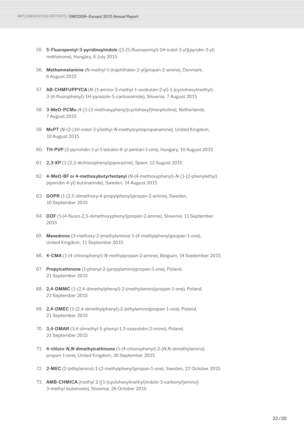- 55. 5-Fluoropentyl-3-pyridinoylindole ([1-(5-fluoropentyl)-1*H*-indol-3-yl](pyridin-3-yl) methanone), Hungary, 6 July 2015
- 56. Methamnetamine (*N*-methyl-1-(naphthalen-2-yl)propan-2-amine), Denmark, 6 August 2015
- 57. AB-CHMFUPPYCA (*N*-(1-amino-3-methyl-1-oxobutan-2-yl)-1-(cyclohexylmethyl)- 3-(4-fluorophenyl)-1*H*-pyrazole-5-carboxamide), Slovenia, 7 August 2015
- 58. 3-MeO-PCMo (4-[1-(3-methoxyphenyl)cyclohexyl]morpholine), Netherlands, 7 August 2015
- 59. McPT (*N*-(2-(1H-indol-3-yl)ethyl-*N*-methylcyclopropanamine), United Kingdom, 10 August 2015
- 60. TH-PVP (2-pyrrolidin-1-yl-1-tetralin-6-yl-pentan-1-one), Hungary, 10 August 2015
- 61. 2,3-XP (1-(2,3-dichlorophenyl)piperazine), Spain, 12 August 2015
- 62. 4-MeO-BF or 4-methoxybutyrfentanyl (*N*-(4-methoxyphenyl)-*N*-[1-(2-phenylethyl) piperidin-4-yl] butanamide), Sweden, 14 August 2015
- 63. DOPR (1-(2,5-dimethoxy-4-propylphenyl)propan-2-amine), Sweden, 10 September 2015
- 64. DOF (1-(4-fluoro-2,5-dimethoxyphenyl)propan-2-amine), Slovenia, 11 September 2015
- 65. Mexedrone (3-methoxy-2-(methylamino)-1-(4-methylphenyl)propan-1-one), United Kingdom, 11 September 2015
- 66. 4-CMA (1-(4-chlorophenyl)-*N*-methylpropan-2-amine), Belgium, 14 September 2015
- 67. Propylcathinone (1-phenyl-2-(propylamino)propan-1-one), Poland, 21 September 2015
- 68. 2,4-DMMC (1-(2,4-dimethylphenyl)-2-(methylamino)propan-1-one), Poland, 21 September 2015
- 69. 2,4-DMEC (1-(2,4-dimethylphenyl)-2-(ethylamino)propan-1-one), Poland, 21 September 2015
- 70. 3,4-DMAR (3,4-dimethyl-5-phenyl-1,3-oxazolidin-2-imine), Poland, 21 September 2015
- 71. 4-chloro-N,N-dimethylcathinone (1-(4-chlorophenyl)-2-(*N*,*N*-dimethylamino) propan-1-one), United Kingdom, 30 September 2015
- 72. 2-MEC (2-(ethylamino)-1-(2-methylphenyl)propan-1-one), Sweden, 22 October 2015
- 73. AMB-CHMICA (methyl 2-[[1-(cyclohexylmethyl)indole-3-carbonyl]amino]- 3-methyl-butanoate), Slovenia, 26 October 2015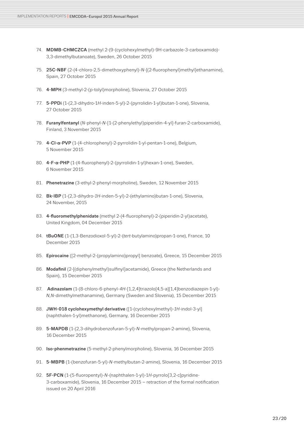- 74. MDMB-CHMCZCA (methyl 2-(9-(cyclohexylmethyl)-9H-carbazole-3-carboxamido)- 3,3-dimethylbutanoate), Sweden, 26 October 2015
- 75. 25C-NBF (2-(4-chloro-2,5-dimethoxyphenyl)-*N*-[(2-fluorophenyl)methyl]ethanamine), Spain, 27 October 2015
- 76. 4-MPH (3-methyl-2-(p-tolyl)morpholine), Slovenia, 27 October 2015
- 77. 5-PPDi (1-(2,3-dihydro-1*H*-inden-5-yl)-2-(pyrrolidin-1-yl)butan-1-one), Slovenia, 27 October 2015
- 78. Furanylfentanyl (*N*-phenyl-*N*-[1-(2-phenylethyl)piperidin-4-yl]-furan-2-carboxamide), Finland, 3 November 2015
- 79. 4-Cl-α-PVP (1-(4-chlorophenyl)-2-pyrrolidin-1-yl-pentan-1-one), Belgium, 5 November 2015
- 80. 4-F-α-PHP (1-(4-fluorophenyl)-2-(pyrrolidin-1-yl)hexan-1-one), Sweden, 6 November 2015
- 81. Phenetrazine (3-ethyl-2-phenyl-morpholine), Sweden, 12 November 2015
- 82. Bk-IBP (1-(2,3-dihydro-*1H*-inden-5-yl)-2-(ethylamino)butan-1-one), Slovenia, 24 November, 2015
- 83. 4-fluoromethylphenidate (methyl 2-(4-fluorophenyl)-2-(piperidin-2-yl)acetate), United Kingdom, 04 December 2015
- 84. tBuONE (1-(1,3-Benzodioxol-5-yl)-2-(*tert*-butylamino)propan-1-one), France, 10 December 2015
- 85. Epirocaine ([2-methyl-2-(propylamino)propyl] benzoate), Greece, 15 December 2015
- 86. Modafinil (2-[(diphenylmethyl)sulfinyl]acetamide), Greece (the Netherlands and Spain), 15 December 2015
- 87. Adinazolam (1-(8-chloro-6-phenyl-*4H*-[1,2,4]triazolo[4,5-a][1,4]benzodiazepin-1-yl)- *N*,*N*-dimethylmethanamine), Germany (Sweden and Slovenia), 15 December 2015
- 88. JWH-018 cyclohexymethyl derivative ([1-(cyclohexylmethyl)-*1H*-indol-3-yl] (naphthalen-1-yl)methanone), Germany, 16 December 2015
- 89. 5-MAPDB (1-(2,3-dihydrobenzofuran-5-yl)-*N*-methylpropan-2-amine), Slovenia, 16 December 2015
- 90. Iso-phenmetrazine (5-methyl-2-phenylmorpholine), Slovenia, 16 December 2015
- 91. 5-MBPB (1-(benzofuran-5-yl)-*N*-methylbutan-2-amine), Slovenia, 16 December 2015
- 92. 5F-PCN (1-(5-fluoropentyl)-*N*-(naphthalen-1-yl)-1*H*-pyrrolo[3,2-c]pyridine-3-carboxamide), Slovenia, 16 December 2015 – retraction of the formal notification issued on 20 April 2016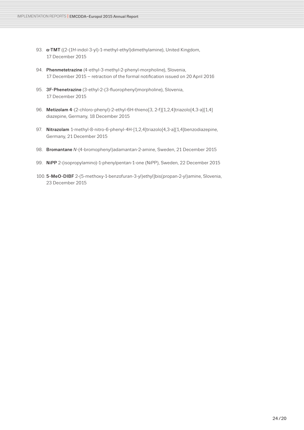- 93. α-TMT ((2-(*1H*-indol-3-yl)-1-methyl-ethyl)dimethylamine), United Kingdom, 17 December 2015
- 94. Phenmetetrazine (4-ethyl-3-methyl-2-phenyl-morpholine), Slovenia, 17 December 2015 – retraction of the formal notification issued on 20 April 2016
- 95. 3F-Phenetrazine (3-ethyl-2-(3-fluorophenyl)morpholine), Slovenia, 17 December 2015
- 96. Metizolam 4-(2-chloro-phenyl)-2-ethyl-6H-thieno[3, 2-f][1,2,4]triazolo[4,3-a][1,4] diazepine, Germany, 18 December 2015
- 97. Nitrazolam 1-methyl-8-nitro-6-phenyl-4H-[1,2,4]triazolo[4,3-a][1,4]benzodiazepine, Germany, 21 December 2015
- 98. Bromantane *N*-(4-bromophenyl)adamantan-2-amine, Sweden, 21 December 2015
- 99. NiPP 2-(isopropylamino)-1-phenylpentan-1-one (NiPP), Sweden, 22 December 2015
- 100. 5-MeO-DIBF 2-(5-methoxy-1-benzofuran-3-yl)ethyl]bis(propan-2-yl)amine, Slovenia, 23 December 2015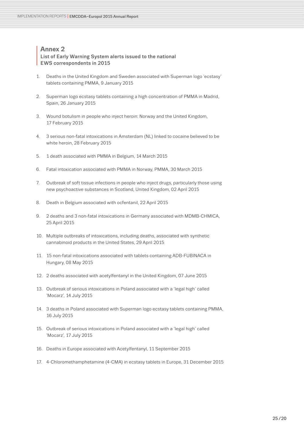# <span id="page-24-0"></span>**I List of Ear**<br>**EWS corre** List of Early Warning System alerts issued to the national EWS correspondents in 2015

- 1. Deaths in the United Kingdom and Sweden associated with Superman logo 'ecstasy' tablets containing PMMA, 9 January 2015
- 2. Superman logo ecstasy tablets containing a high concentration of PMMA in Madrid, Spain, 26 January 2015
- 3. Wound botulism in people who inject heroin: Norway and the United Kingdom, 17 February 2015
- 4. 3 serious non-fatal intoxications in Amsterdam (NL) linked to cocaine believed to be white heroin, 28 February 2015
- 5. 1 death associated with PMMA in Belgium, 14 March 2015
- 6. Fatal intoxication associated with PMMA in Norway, PMMA, 30 March 2015
- 7. Outbreak of soft tissue infections in people who inject drugs, particularly those using new psychoactive substances in Scotland, United Kingdom, 02 April 2015
- 8. Death in Belgium associated with ocfentanil, 22 April 2015
- 9. 2 deaths and 3 non-fatal intoxications in Germany associated with MDMB-CHMICA, 25 April 2015
- 10. Multiple outbreaks of intoxications, including deaths, associated with synthetic cannabinoid products in the United States, 29 April 2015
- 11. 15 non-fatal intoxications associated with tablets containing ADB-FUBINACA in Hungary, 08 May 2015
- 12. 2 deaths associated with acetylfentanyl in the United Kingdom, 07 June 2015
- 13. Outbreak of serious intoxications in Poland associated with a 'legal high' called 'Mocarz', 14 July 2015
- 14. 3 deaths in Poland associated with Superman logo ecstasy tablets containing PMMA, 16 July 2015
- 15. Outbreak of serious intoxications in Poland associated with a 'legal high' called 'Mocarz', 17 July 2015
- 16. Deaths in Europe associated with Acetylfentanyl, 11 September 2015
- 17. 4-Chloromethamphetamine (4-CMA) in ecstasy tablets in Europe, 31 December 2015